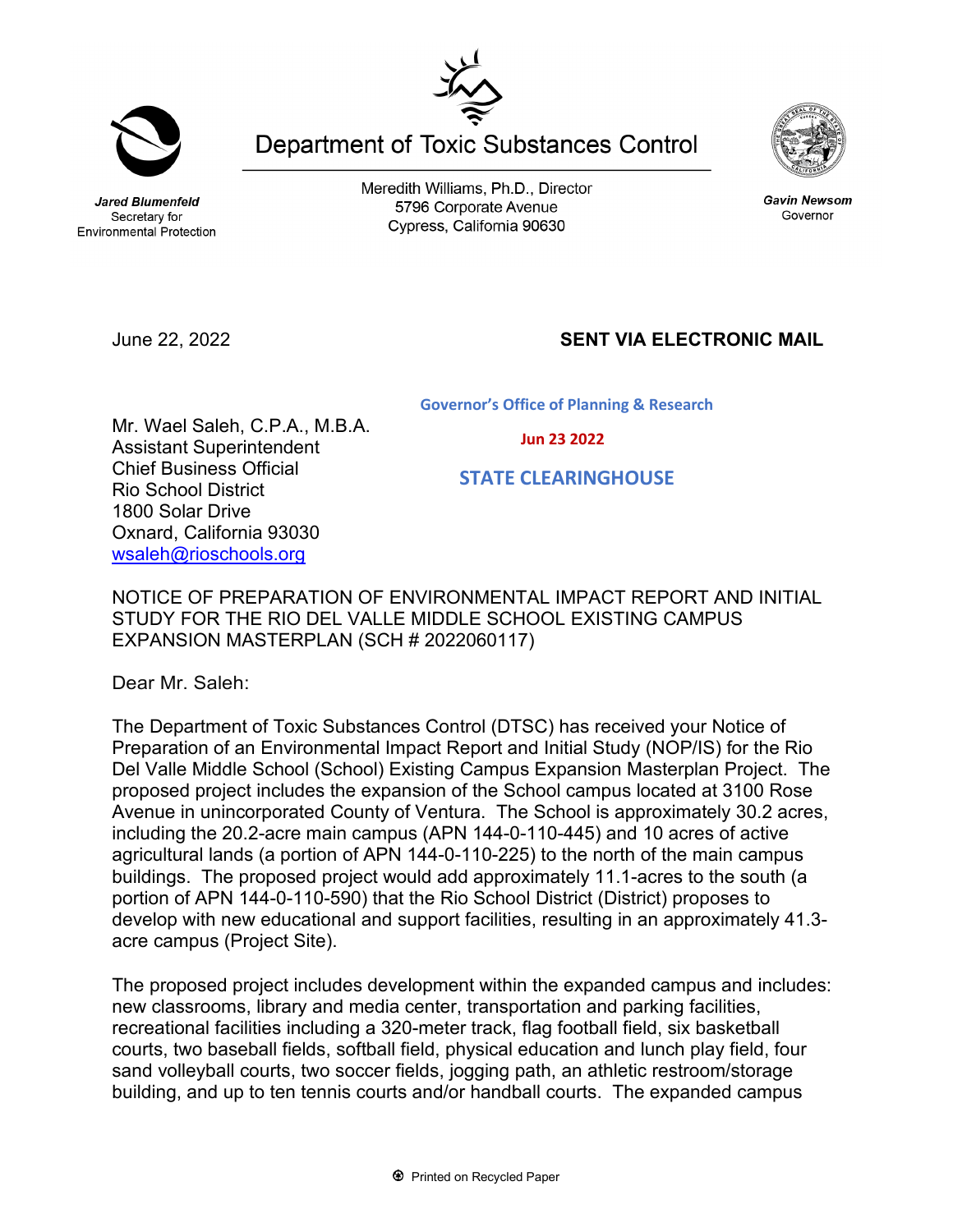Meredith Williams, Ph.D., Director 5796 Corporate Avenue

Secretary for **Environmental Protection** 

Jared Blumenfeld

June 22, 2022 **SENT VIA ELECTRONIC MAIL**

Mr. Wael Saleh, C.P.A., M.B.A.

Assistant Superintendent Chief Business Official Rio School District 1800 Solar Drive

Oxnard, California 93030 [wsaleh@rioschools.org](mailto:wsaleh@rioschools.org)

Governor's Office of Planning & Research

Jun 23 2022

## STATE CLEARINGHOUSE

NOTICE OF PREPARATION OF ENVIRONMENTAL IMPACT REPORT AND INITIAL STUDY FOR THE RIO DEL VALLE MIDDLE SCHOOL EXISTING CAMPUS EXPANSION MASTERPLAN (SCH # 2022060117)

Dear Mr. Saleh:

The Department of Toxic Substances Control (DTSC) has received your Notice of Preparation of an Environmental Impact Report and Initial Study (NOP/IS) for the Rio Del Valle Middle School (School) Existing Campus Expansion Masterplan Project. The proposed project includes the expansion of the School campus located at 3100 Rose Avenue in unincorporated County of Ventura. The School is approximately 30.2 acres, including the 20.2-acre main campus (APN 144-0-110-445) and 10 acres of active agricultural lands (a portion of APN 144-0-110-225) to the north of the main campus buildings. The proposed project would add approximately 11.1-acres to the south (a portion of APN 144-0-110-590) that the Rio School District (District) proposes to develop with new educational and support facilities, resulting in an approximately 41.3 acre campus (Project Site).

The proposed project includes development within the expanded campus and includes: new classrooms, library and media center, transportation and parking facilities, recreational facilities including a 320-meter track, flag football field, six basketball courts, two baseball fields, softball field, physical education and lunch play field, four sand volleyball courts, two soccer fields, jogging path, an athletic restroom/storage building, and up to ten tennis courts and/or handball courts. The expanded campus



**Department of Toxic Substances Control** 



**Gavin Newsom** 



Cypress, California 90630

Governor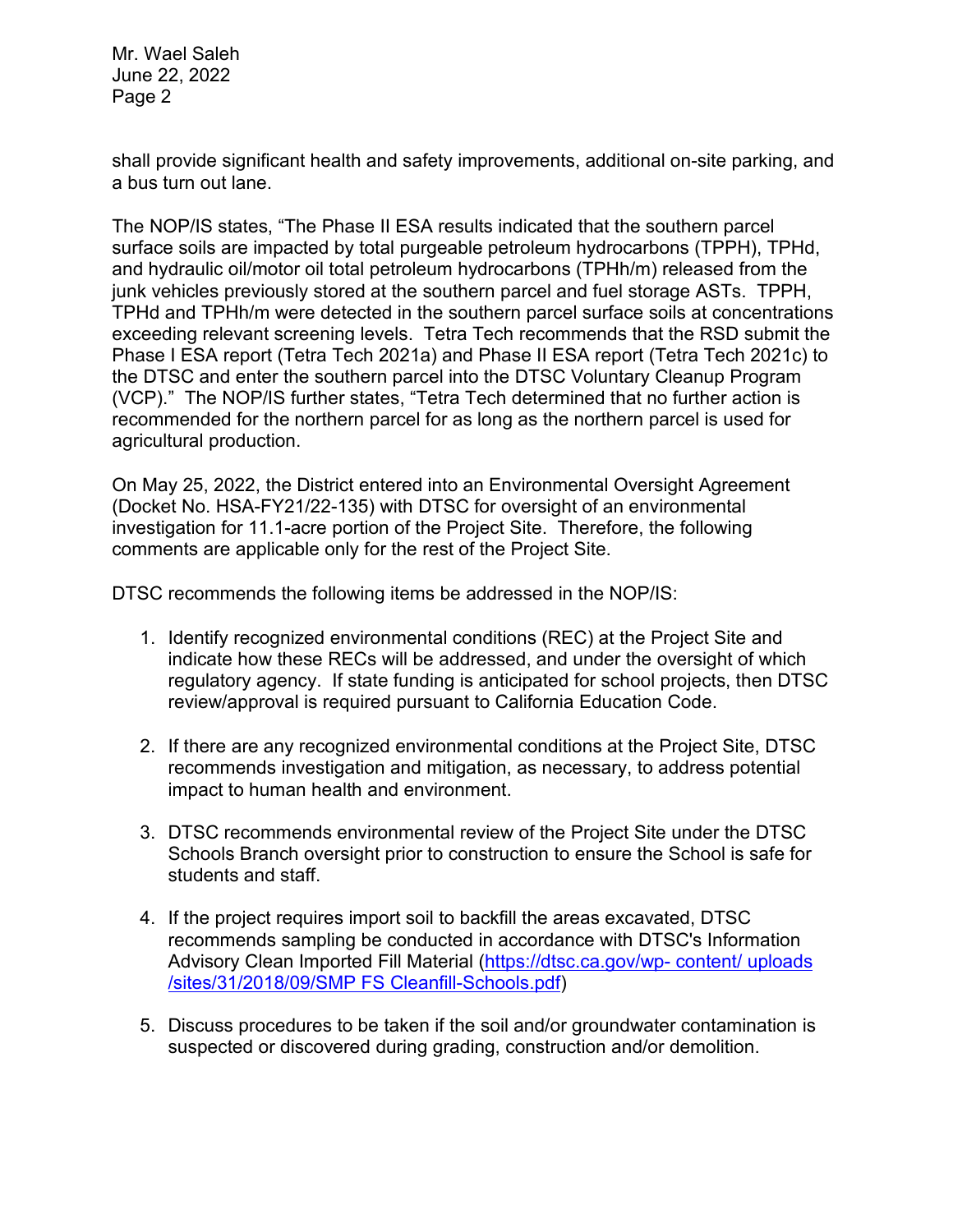Mr. Wael Saleh June 22, 2022 Page 2

shall provide significant health and safety improvements, additional on-site parking, and a bus turn out lane.

The NOP/IS states, "The Phase II ESA results indicated that the southern parcel surface soils are impacted by total purgeable petroleum hydrocarbons (TPPH), TPHd, and hydraulic oil/motor oil total petroleum hydrocarbons (TPHh/m) released from the junk vehicles previously stored at the southern parcel and fuel storage ASTs. TPPH, TPHd and TPHh/m were detected in the southern parcel surface soils at concentrations exceeding relevant screening levels. Tetra Tech recommends that the RSD submit the Phase I ESA report (Tetra Tech 2021a) and Phase II ESA report (Tetra Tech 2021c) to the DTSC and enter the southern parcel into the DTSC Voluntary Cleanup Program (VCP)." The NOP/IS further states, "Tetra Tech determined that no further action is recommended for the northern parcel for as long as the northern parcel is used for agricultural production.

On May 25, 2022, the District entered into an Environmental Oversight Agreement (Docket No. HSA-FY21/22-135) with DTSC for oversight of an environmental investigation for 11.1-acre portion of the Project Site. Therefore, the following comments are applicable only for the rest of the Project Site.

DTSC recommends the following items be addressed in the NOP/IS:

- 1. Identify recognized environmental conditions (REC) at the Project Site and indicate how these RECs will be addressed, and under the oversight of which regulatory agency. If state funding is anticipated for school projects, then DTSC review/approval is required pursuant to California Education Code.
- 2. If there are any recognized environmental conditions at the Project Site, DTSC recommends investigation and mitigation, as necessary, to address potential impact to human health and environment.
- 3. DTSC recommends environmental review of the Project Site under the DTSC Schools Branch oversight prior to construction to ensure the School is safe for students and staff.
- 4. If the project requires import soil to backfill the areas excavated, DTSC recommends sampling be conducted in accordance with DTSC's Information Advisory Clean Imported Fill Material [\(https://dtsc.ca.gov/wp- content/ uploads](https://dtsc.ca.gov/wp%C2%AD%20content/%20uploads%20/sites/31/2018/09/SMP%20FS%20Cleanfill-Schools.pdf)  [/sites/31/2018/09/SMP FS Cleanfill-Schools.pdf\)](https://dtsc.ca.gov/wp%C2%AD%20content/%20uploads%20/sites/31/2018/09/SMP%20FS%20Cleanfill-Schools.pdf)
- 5. Discuss procedures to be taken if the soil and/or groundwater contamination is suspected or discovered during grading, construction and/or demolition.